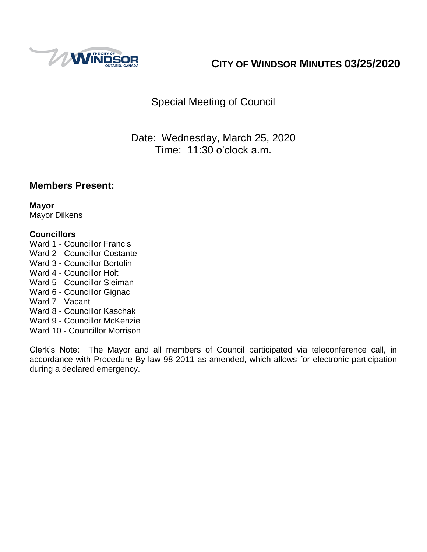

# **CITY OF WINDSOR MINUTES 03/25/2020**

Special Meeting of Council

Date: Wednesday, March 25, 2020 Time: 11:30 o'clock a.m.

## **Members Present:**

**Mayor** Mayor Dilkens

#### **Councillors**

- Ward 1 Councillor Francis
- Ward 2 Councillor Costante
- Ward 3 Councillor Bortolin
- Ward 4 Councillor Holt
- Ward 5 Councillor Sleiman
- Ward 6 Councillor Gignac
- Ward 7 Vacant
- Ward 8 Councillor Kaschak
- Ward 9 Councillor McKenzie
- Ward 10 Councillor Morrison

Clerk's Note: The Mayor and all members of Council participated via teleconference call, in accordance with Procedure By-law 98-2011 as amended, which allows for electronic participation during a declared emergency.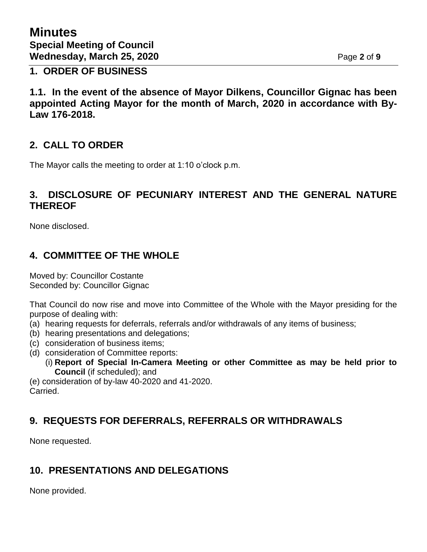### **1. ORDER OF BUSINESS**

**1.1. In the event of the absence of Mayor Dilkens, Councillor Gignac has been appointed Acting Mayor for the month of March, 2020 in accordance with By-Law 176-2018.**

# **2. CALL TO ORDER**

The Mayor calls the meeting to order at 1:10 o'clock p.m.

## **3. DISCLOSURE OF PECUNIARY INTEREST AND THE GENERAL NATURE THEREOF**

None disclosed.

# **4. COMMITTEE OF THE WHOLE**

Moved by: Councillor Costante Seconded by: Councillor Gignac

That Council do now rise and move into Committee of the Whole with the Mayor presiding for the purpose of dealing with:

- (a) hearing requests for deferrals, referrals and/or withdrawals of any items of business;
- (b) hearing presentations and delegations;
- (c) consideration of business items;
- (d) consideration of Committee reports:
	- (i) **Report of Special In-Camera Meeting or other Committee as may be held prior to Council** (if scheduled); and

(e) consideration of by-law 40-2020 and 41-2020. Carried.

# **9. REQUESTS FOR DEFERRALS, REFERRALS OR WITHDRAWALS**

None requested.

# **10. PRESENTATIONS AND DELEGATIONS**

None provided.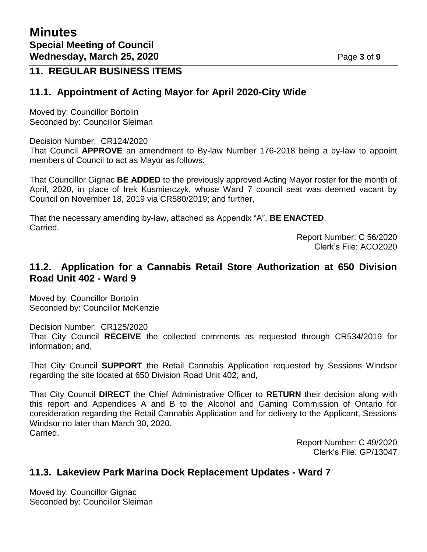## **11. REGULAR BUSINESS ITEMS**

### **11.1. Appointment of Acting Mayor for April 2020-City Wide**

Moved by: Councillor Bortolin Seconded by: Councillor Sleiman

Decision Number: CR124/2020

That Council **APPROVE** an amendment to By-law Number 176-2018 being a by-law to appoint members of Council to act as Mayor as follows:

That Councillor Gignac **BE ADDED** to the previously approved Acting Mayor roster for the month of April, 2020, in place of Irek Kusmierczyk, whose Ward 7 council seat was deemed vacant by Council on November 18, 2019 via CR580/2019; and further,

That the necessary amending by-law, attached as Appendix "A", **BE ENACTED**. Carried.

> Report Number: C 56/2020 Clerk's File: ACO2020

## **11.2. Application for a Cannabis Retail Store Authorization at 650 Division Road Unit 402 - Ward 9**

Moved by: Councillor Bortolin Seconded by: Councillor McKenzie

Decision Number: CR125/2020

That City Council **RECEIVE** the collected comments as requested through CR534/2019 for information; and,

That City Council **SUPPORT** the Retail Cannabis Application requested by Sessions Windsor regarding the site located at 650 Division Road Unit 402; and,

That City Council **DIRECT** the Chief Administrative Officer to **RETURN** their decision along with this report and Appendices A and B to the Alcohol and Gaming Commission of Ontario for consideration regarding the Retail Cannabis Application and for delivery to the Applicant, Sessions Windsor no later than March 30, 2020. Carried.

> Report Number: C 49/2020 Clerk's File: GP/13047

### **11.3. Lakeview Park Marina Dock Replacement Updates - Ward 7**

Moved by: Councillor Gignac Seconded by: Councillor Sleiman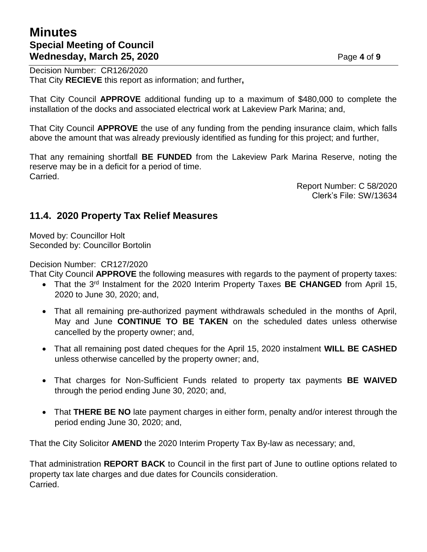# **Minutes Special Meeting of Council Wednesday, March 25, 2020** Page 4 of 9

Decision Number: CR126/2020 That City **RECIEVE** this report as information; and further**,**

That City Council **APPROVE** additional funding up to a maximum of \$480,000 to complete the installation of the docks and associated electrical work at Lakeview Park Marina; and,

That City Council **APPROVE** the use of any funding from the pending insurance claim, which falls above the amount that was already previously identified as funding for this project; and further,

That any remaining shortfall **BE FUNDED** from the Lakeview Park Marina Reserve, noting the reserve may be in a deficit for a period of time. Carried.

> Report Number: C 58/2020 Clerk's File: SW/13634

## **11.4. 2020 Property Tax Relief Measures**

Moved by: Councillor Holt Seconded by: Councillor Bortolin

Decision Number: CR127/2020

That City Council **APPROVE** the following measures with regards to the payment of property taxes:

- That the 3<sup>rd</sup> Instalment for the 2020 Interim Property Taxes **BE CHANGED** from April 15, 2020 to June 30, 2020; and,
- That all remaining pre-authorized payment withdrawals scheduled in the months of April, May and June **CONTINUE TO BE TAKEN** on the scheduled dates unless otherwise cancelled by the property owner; and,
- That all remaining post dated cheques for the April 15, 2020 instalment **WILL BE CASHED** unless otherwise cancelled by the property owner; and,
- That charges for Non-Sufficient Funds related to property tax payments **BE WAIVED** through the period ending June 30, 2020; and,
- That **THERE BE NO** late payment charges in either form, penalty and/or interest through the period ending June 30, 2020; and,

That the City Solicitor **AMEND** the 2020 Interim Property Tax By-law as necessary; and,

That administration **REPORT BACK** to Council in the first part of June to outline options related to property tax late charges and due dates for Councils consideration. Carried.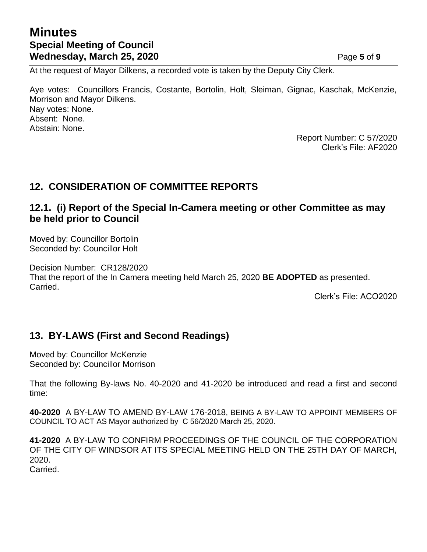# **Minutes Special Meeting of Council Wednesday, March 25, 2020 Page 5** of 9

At the request of Mayor Dilkens, a recorded vote is taken by the Deputy City Clerk.

Aye votes: Councillors Francis, Costante, Bortolin, Holt, Sleiman, Gignac, Kaschak, McKenzie, Morrison and Mayor Dilkens. Nay votes: None. Absent: None. Abstain: None.

Report Number: C 57/2020 Clerk's File: AF2020

# **12. CONSIDERATION OF COMMITTEE REPORTS**

## **12.1. (i) Report of the Special In-Camera meeting or other Committee as may be held prior to Council**

Moved by: Councillor Bortolin Seconded by: Councillor Holt

Decision Number: CR128/2020 That the report of the In Camera meeting held March 25, 2020 **BE ADOPTED** as presented. Carried.

Clerk's File: ACO2020

## **13. BY-LAWS (First and Second Readings)**

Moved by: Councillor McKenzie Seconded by: Councillor Morrison

That the following By-laws No. 40-2020 and 41-2020 be introduced and read a first and second time:

**40-2020** A BY-LAW TO AMEND BY-LAW 176-2018, BEING A BY-LAW TO APPOINT MEMBERS OF COUNCIL TO ACT AS Mayor authorized by C 56/2020 March 25, 2020.

**41-2020** A BY-LAW TO CONFIRM PROCEEDINGS OF THE COUNCIL OF THE CORPORATION OF THE CITY OF WINDSOR AT ITS SPECIAL MEETING HELD ON THE 25TH DAY OF MARCH, 2020.

Carried.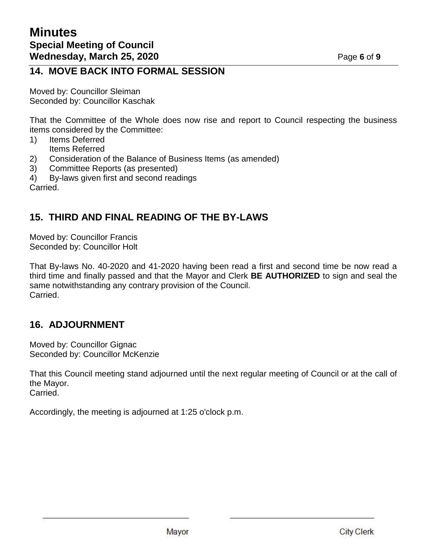## **14. MOVE BACK INTO FORMAL SESSION**

Moved by: Councillor Sleiman Seconded by: Councillor Kaschak

That the Committee of the Whole does now rise and report to Council respecting the business items considered by the Committee:

- 1) Items Deferred Items Referred
- 2) Consideration of the Balance of Business Items (as amended)
- 3) Committee Reports (as presented)
- 4) By-laws given first and second readings

Carried.

# **15. THIRD AND FINAL READING OF THE BY-LAWS**

Moved by: Councillor Francis Seconded by: Councillor Holt

That By-laws No. 40-2020 and 41-2020 having been read a first and second time be now read a third time and finally passed and that the Mayor and Clerk **BE AUTHORIZED** to sign and seal the same notwithstanding any contrary provision of the Council. Carried.

# **16. ADJOURNMENT**

Moved by: Councillor Gignac Seconded by: Councillor McKenzie

That this Council meeting stand adjourned until the next regular meeting of Council or at the call of the Mayor. Carried.

Accordingly, the meeting is adjourned at 1:25 o'clock p.m.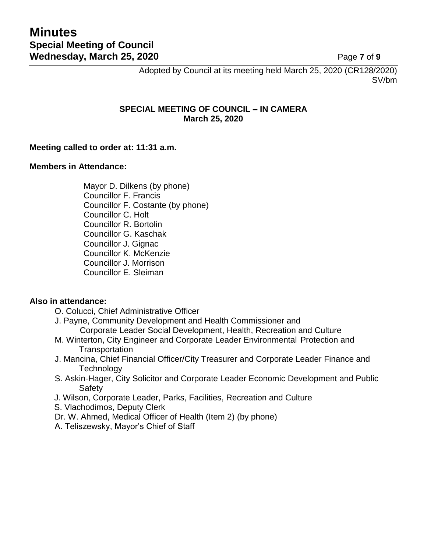Adopted by Council at its meeting held March 25, 2020 (CR128/2020) SV/bm

#### **SPECIAL MEETING OF COUNCIL – IN CAMERA March 25, 2020**

#### **Meeting called to order at: 11:31 a.m.**

#### **Members in Attendance:**

Mayor D. Dilkens (by phone) Councillor F. Francis Councillor F. Costante (by phone) Councillor C. Holt Councillor R. Bortolin Councillor G. Kaschak Councillor J. Gignac Councillor K. McKenzie Councillor J. Morrison Councillor E. Sleiman

#### **Also in attendance:**

- O. Colucci, Chief Administrative Officer
- J. Payne, Community Development and Health Commissioner and Corporate Leader Social Development, Health, Recreation and Culture
- M. Winterton, City Engineer and Corporate Leader Environmental Protection and **Transportation**
- J. Mancina, Chief Financial Officer/City Treasurer and Corporate Leader Finance and **Technology**
- S. Askin-Hager, City Solicitor and Corporate Leader Economic Development and Public **Safety**
- J. Wilson, Corporate Leader, Parks, Facilities, Recreation and Culture
- S. Vlachodimos, Deputy Clerk
- Dr. W. Ahmed, Medical Officer of Health (Item 2) (by phone)
- A. Teliszewsky, Mayor's Chief of Staff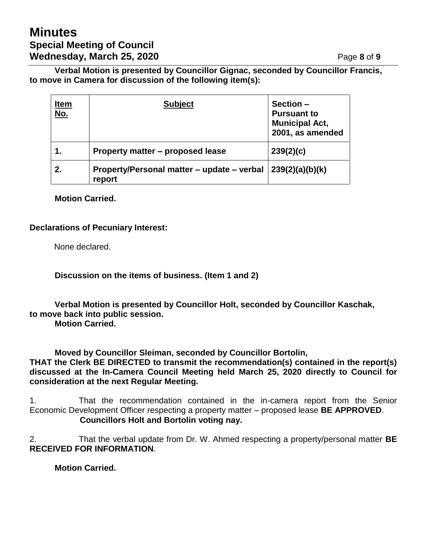# **Minutes Special Meeting of Council Wednesday, March 25, 2020 Page 8** of 9

**Verbal Motion is presented by Councillor Gignac, seconded by Councillor Francis, to move in Camera for discussion of the following item(s):**

| <u>Item</u><br><u>No.</u> | <b>Subject</b>                                       | Section -<br><b>Pursuant to</b><br><b>Municipal Act,</b><br>2001, as amended |
|---------------------------|------------------------------------------------------|------------------------------------------------------------------------------|
|                           | Property matter – proposed lease                     | 239(2)(c)                                                                    |
| 2.                        | Property/Personal matter – update – verbal<br>report | 239(2)(a)(b)(k)                                                              |

**Motion Carried.**

#### **Declarations of Pecuniary Interest:**

None declared.

**Discussion on the items of business. (Item 1 and 2)**

**Verbal Motion is presented by Councillor Holt, seconded by Councillor Kaschak, to move back into public session.**

**Motion Carried.**

**Moved by Councillor Sleiman, seconded by Councillor Bortolin,**

**THAT the Clerk BE DIRECTED to transmit the recommendation(s) contained in the report(s) discussed at the In-Camera Council Meeting held March 25, 2020 directly to Council for consideration at the next Regular Meeting.**

1. That the recommendation contained in the in-camera report from the Senior Economic Development Officer respecting a property matter – proposed lease **BE APPROVED**. **Councillors Holt and Bortolin voting nay.**

2. That the verbal update from Dr. W. Ahmed respecting a property/personal matter **BE RECEIVED FOR INFORMATION**.

**Motion Carried.**